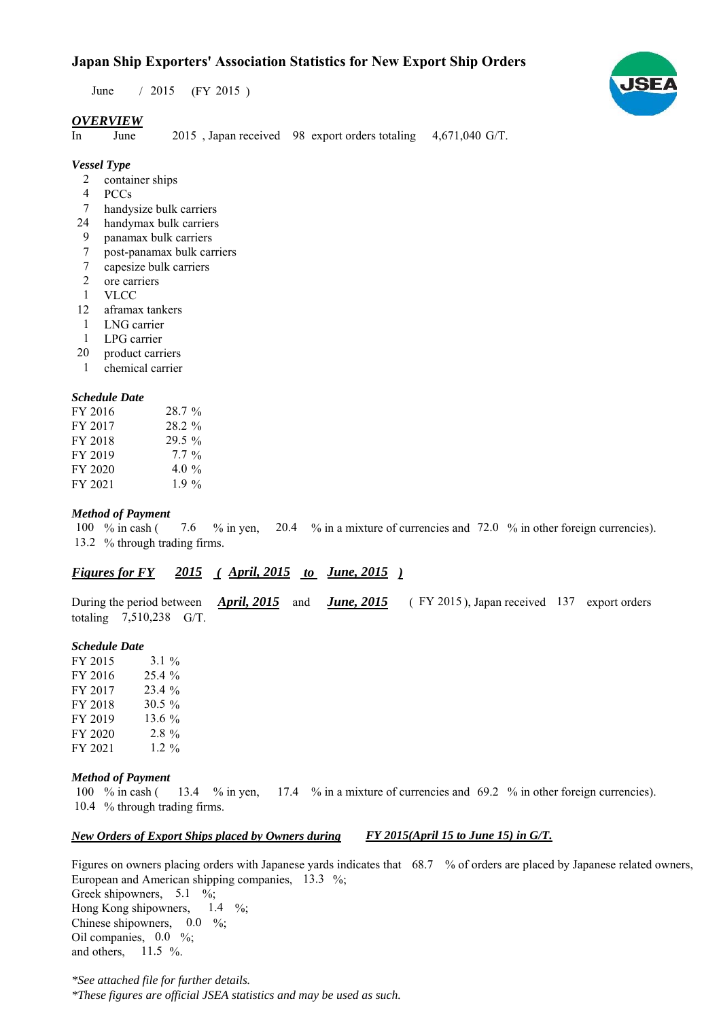# **Japan Ship Exporters' Association Statistics for New Export Ship Orders**

June / 2015 (FY 2015)

### *OVERVIEW*

In June 2015, Japan received 98 export orders totaling 4,671,040 G/T.

# *Vessel Type*

- 2 container ships
- PCCs 4
- handysize bulk carriers 7
- handymax bulk carriers 24
- panamax bulk carriers 9
- post-panamax bulk carriers 7
- capesize bulk carriers 7
- ore carriers 2
- VLCC 1
- aframax tankers 12
- LNG carrier 1
- LPG carrier 1
- product carriers 20
- chemical carrier 1

#### *Schedule Date*

| FY 2016 | $28.7 \%$ |
|---------|-----------|
| FY 2017 | $28.2 \%$ |
| FY 2018 | 29.5 %    |
| FY 2019 | $7.7\%$   |
| FY 2020 | 4.0 $\%$  |
| FY 2021 | $1.9\%$   |

#### *Method of Payment*

% in cash ( $\frac{8}{10}$  m yen,  $\frac{20.4}{10}$  m a mixture of currencies and  $\frac{72.0}{10}$  % in other foreign currencies). 13.2 % through trading firms. 100 % in cash (7.6)

# *Figures for FY* 2015 (April, 2015 *to June, 2015*)

During the period between *April, 2015* and *June, 2015* (FY 2015), Japan received 137 export orders totaling  $7,510,238$  G/T. *April, 2015 June, 2015*

#### *Schedule Date*

FY 2015 FY 2016 FY 2017 FY 2018 FY 2019 FY 2020 FY 2021 13.6 %  $2.8\%$ 23.4 % 30.5 % 3.1  $25.4%$ 1.2  $%$ 

#### *Method of Payment*

and others,  $11.5\%$ .

% in cash ( $\frac{13.4}{8}$  in yen,  $\frac{17.4}{8}$  in a mixture of currencies and 69.2 % in other foreign currencies). 10.4 % through trading firms. 100  $%$  in cash (

#### *New Orders of Export Ships placed by Owners during FY 2015(April 15 to June 15) in G/T.*

Figures on owners placing orders with Japanese yards indicates that  $68.7\%$  of orders are placed by Japanese related owners, European and American shipping companies,  $13.3\%$ ; Greek shipowners,  $5.1 \%$ ; Hong Kong shipowners,  $1.4 \frac{\%}{6}$ ; Chinese shipowners,  $0.0\%$ ; Oil companies,  $0.0\%$ ; 1.4

*\*See attached file for further details. \*These figures are official JSEA statistics and may be used as such.*

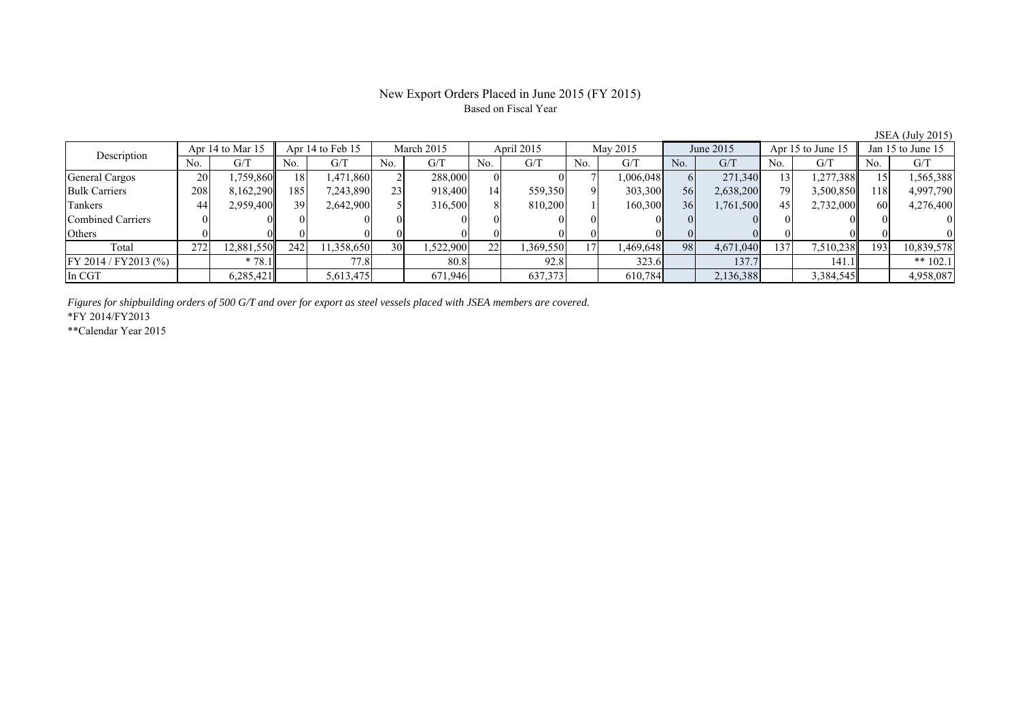#### New Export Orders Placed in June 2015 (FY 2015) Based on Fiscal Year

No. G/T No. G/T No. G/T No. G/T No. G/T No. G/T No. G/T No. G/T General Cargos ( 20 1,759,860 18 1,471,860 2 288,000 0 0 7 1,006,048 6 271,340 13 1,277,388 15 1,565,388 Bulk Carriers 208 8,162,290 185 7,243,890 23 918,400 14 559,350 9 303,300 56 2,638,200 79 3,500,850 118 4,997,790 Tankers | 44| 2,959,400|| 39| 2,642,900| 5| 316,500| 8| 810,200| 1| 160,300| 36| 1,761,500| 45| 2,732,000| 60| 4,276,400 Combined Carriers 0 0 0 0 0 0 0 0 0 0 0 0 0 0 0 0 Others | 0 | 0 || 0 || 0 || 0 || 0 || 0 || 0 || 0 || 0 || 0 | Total 272 12,881,550 242 11,358,650 30 1,522,900 22 1,369,550 17 1,469,648 98 4,671,040 137 7,510,238 193 10,839,578 FY 2014 / FY2013 (%) \* 78.1 77.8 80.8 92.8 323.6 137.7 141.1 \*\* 102.1 In CGT | | 6,285,421|| | 5,613,475 | | 671,946| | 637,373 | | 610,784| | 2,136,388 | | 3,384,545|| | 4,958,087 Description Apr 14 to Mar 15 Apr 14 to Feb 15 March 2015 April 2015<br>No. 6/T No. 6/T No. 6/T No. 6/T No. 6/T May 2015 June 2015 Apr 15 to June 15 Jan 15 to June 15

*Figures for shipbuilding orders of 500 G/T and over for export as steel vessels placed with JSEA members are covered.*

\*FY 2014/FY2013

\*\*Calendar Year 2015

JSEA (July 2015)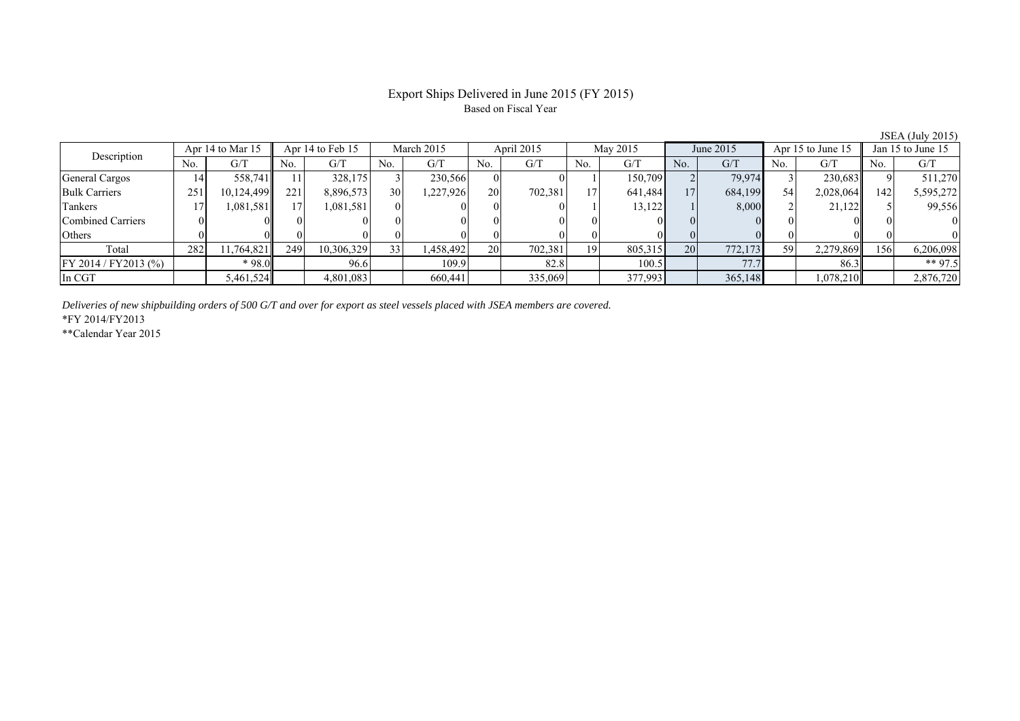# Export Ships Delivered in June 2015 (FY 2015) Based on Fiscal Year

| $\frac{1}{2}$ $\frac{1}{2}$ $\frac{1}{2}$ $\frac{1}{2}$ $\frac{1}{2}$ $\frac{1}{2}$ $\frac{1}{2}$ $\frac{1}{2}$ $\frac{1}{2}$ $\frac{1}{2}$ $\frac{1}{2}$ $\frac{1}{2}$ $\frac{1}{2}$ $\frac{1}{2}$ $\frac{1}{2}$ $\frac{1}{2}$ $\frac{1}{2}$ $\frac{1}{2}$ $\frac{1}{2}$ $\frac{1}{2}$ $\frac{1}{2}$ $\frac{1}{2}$ |                  |            |                  |            |            |           |            |         |                 |         |           |         |                   |           |                   |           |
|---------------------------------------------------------------------------------------------------------------------------------------------------------------------------------------------------------------------------------------------------------------------------------------------------------------------|------------------|------------|------------------|------------|------------|-----------|------------|---------|-----------------|---------|-----------|---------|-------------------|-----------|-------------------|-----------|
| Description                                                                                                                                                                                                                                                                                                         | Apr 14 to Mar 15 |            | Apr 14 to Feb 15 |            | March 2015 |           | April 2015 |         | May 2015        |         | June 2015 |         | Apr 15 to June 15 |           | Jan 15 to June 15 |           |
|                                                                                                                                                                                                                                                                                                                     | No.              | G/T        | No.              | G/T        | No.        | G/T       | No.        | G/T     | No.             | G/T     | No.       | G/T     | No.               | G/T       | No.               | G/T       |
| General Cargos                                                                                                                                                                                                                                                                                                      | 14               | 558,741    |                  | 328.175    |            | 230,566   |            |         |                 | 150,709 |           | 79,974  |                   | 230,683   |                   | 511,270   |
| <b>Bulk Carriers</b>                                                                                                                                                                                                                                                                                                | 251              | 10,124,499 | 221              | 8,896,573  | 30         | 227,926   | <b>20</b>  | 702,381 | 17 <sub>1</sub> | 641,484 | 17        | 684,199 | 54                | 2,028,064 | 142               | 5,595,272 |
| Tankers                                                                                                                                                                                                                                                                                                             |                  | 1,081,581  |                  | 1,081,581  |            |           |            |         |                 | 13,122  |           | 8,000   |                   | 21.122    |                   | 99,556    |
| Combined Carriers                                                                                                                                                                                                                                                                                                   |                  |            |                  |            |            |           |            |         |                 |         |           |         | $\Omega$          |           |                   |           |
| Others                                                                                                                                                                                                                                                                                                              |                  |            |                  |            |            |           |            |         |                 |         |           |         |                   |           |                   |           |
| Total                                                                                                                                                                                                                                                                                                               | 282              | 11,764,821 | 249              | 10,306,329 | 33         | 1,458,492 | 20         | 702,381 | 19              | 805,315 | 201       | 772,173 | 59                | 2,279,869 | 156               | 6,206,098 |
| FY 2014 / FY 2013 (%)                                                                                                                                                                                                                                                                                               |                  | * 98.0     |                  | 96.6       |            | 109.9     |            | 82.8    |                 | 100.5   |           | 77.7    |                   | 86.3      |                   | ** 97.5   |
| In CGT                                                                                                                                                                                                                                                                                                              |                  | 5,461,524  |                  | 4,801,083  |            | 660.441   |            | 335,069 |                 | 377,993 |           | 365,148 |                   | 1,078,210 |                   | 2,876,720 |

*Deliveries of new shipbuilding orders of 500 G/T and over for export as steel vessels placed with JSEA members are covered.*

\*FY 2014/FY2013

\*\*Calendar Year 2015

JSEA (July 2015)